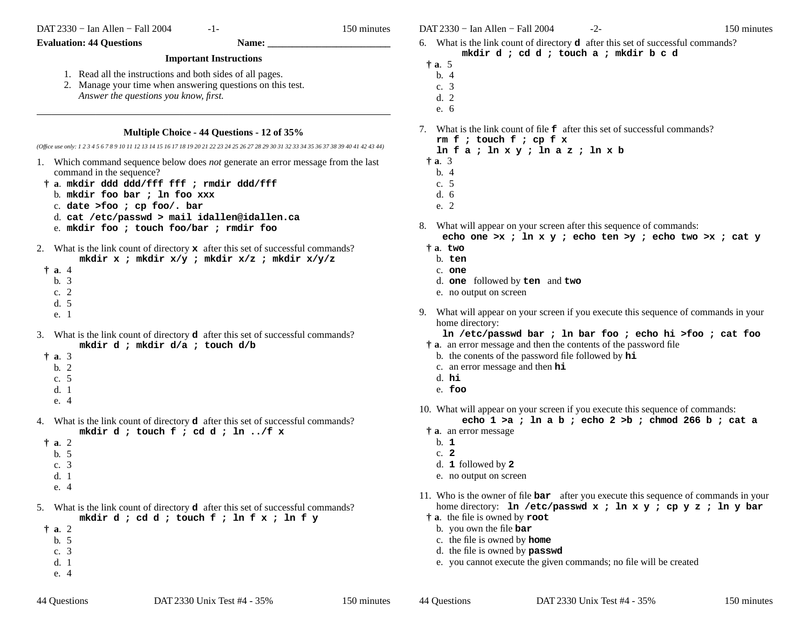DAT 2330 − Ian Allen − Fall 2004 -1- 150 minutes **Evaluation: 44 Questions Name: Important Instructions** 1. Read all the instructions and both sides of all pages. 2. Manage your time when answering questions on this test. *Answer the questions you know, first.* **Multiple Choice - 44 Questions - 12 of 35%** *(Office use only: 1 2 3 4 5 6 7 8 9 10 11 12 13 14 15 16 17 18 19 20 21 22 23 24 25 26 27 28 29 30 31 32 33 34 35 36 37 38 39 40 41 42 43 44)* 1. Which command sequence below does *not* generate an error message from the last command in the sequence? **† <sup>a</sup>**. **mkdir ddd ddd/fff fff ; rmdir ddd/fff** b. **mkdir foo bar ; ln foo xxx** c. **date >foo ; cp foo/. bar** d. **cat /etc/passwd > mail idallen@idallen.ca** e. **mkdir foo ; touch foo/bar ; rmdir foo** 2. What is the link count of directory **<sup>x</sup>** after this set of successful commands? **mkdir x ; mkdir x/y ; mkdir x/z ; mkdir x/y/z † <sup>a</sup>**. 4 b. 3c. 2d. 5e. 13. What is the link count of directory **d** after this set of successful commands? **mkdir d ; mkdir d/a ; touch d/b**  $\uparrow$  **a**. 3 b. 2

- d. 1
- e. 4
- 4. What is the link count of directory **d** after this set of successful commands? **mkdir d ; touch f ; cd d ; ln ../f x**
- $\uparrow$  **a**. 2 b. 5c. 3
	- d. 1
	- e. 4
- 5. What is the link count of directory **d** after this set of successful commands? **mkdir d ; cd d ; touch f ; ln f x ; ln f y**
	- $\dagger$  **a**. 2
	- b. 5c. 3
	- d. 1
	- e. 4

DAT 2330 − Ian Allen − Fall 2004 -2- 150 minutes

- 6. What is the link count of directory **d** after this set of successful commands? **mkdir d ; cd d ; touch a ; mkdir b c d**
- $\dagger$  **a**. 5
- b. 4
- c. 3d. 2
- e. 6
- 7. What is the link count of file **f** after this set of successful commands? **rm f ; touch f ; cp f x**
	- **ln f a ; ln x y ; ln a z ; ln x b**
- $\dagger$  **a**. 3 b. 4
- c. 5
- d. 6
- e. 2

8. What will appear on your screen after this sequence of commands:

```
echo one >x ; ln x y ; echo ten >y ; echo two >x ; cat y
```
- **† <sup>a</sup>**. **two**
	- b. **ten**
	- c. **one**
	- d. **one** followed by **ten** and **two**
	- e. no output on screen
- 9. What will appear on your screen if you execute this sequence of commands in your home directory:

**ln /etc/passwd bar ; ln bar foo ; echo hi >foo ; cat foo**

- **† <sup>a</sup>**. an error message and then the contents of the password file
	- b. the conents of the password file followed by **hi**
	- c. an error message and then **hi**
	- d. **hi**
	- e. **foo**

10. What will appear on your screen if you execute this sequence of commands:

**echo 1 >a ; ln a b ; echo 2 >b ; chmod 266 b ; cat a**

- **† <sup>a</sup>**. an error message
- b. **1**
- c. **2**
- d. **1** followed by **<sup>2</sup>**
- e. no output on screen
- 11. Who is the owner of file **bar** after you execute this sequence of commands in your home directory: **ln /etc/passwd x ; ln x y ; cp y z ; ln y bar**
- **† <sup>a</sup>**. the file is owned by **root**
- b. you own the file **bar**
- c. the file is owned by **home**
- d. the file is owned by **passwd**
- e. you cannot execute the given commands; no file will be created
- c. 5
	-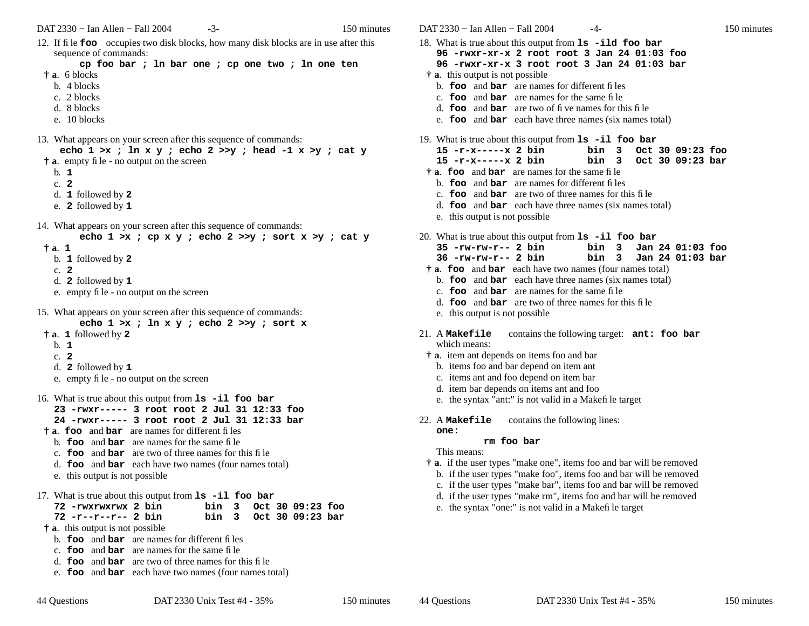12. If file **foo** occupies two disk blocks, how many disk blocks are in use after this sequence of commands:

**cp foo bar ; ln bar one ; cp one two ; ln one ten**

- **† <sup>a</sup>**. 6 blocks
	- b. 4 blocks
	- c. 2 blocks
	- d. 8 blocks
	- e. 10 blocks
- 13. What appears on your screen after this sequence of commands:
- **echo 1 >x ; ln x y ; echo 2 >>y ; head -1 x >y ; cat y † <sup>a</sup>**. empty file - no output on the screen
	- b. **1**
	- c. **2**
	- d. **1** followed by **<sup>2</sup>**
	- e. **2** followed by **<sup>1</sup>**
- 14. What appears on your screen after this sequence of commands:
	- **echo 1 >x ; cp x y ; echo 2 >>y ; sort x >y ; cat y**
- **† <sup>a</sup>**. **1**
	- b. **1** followed by **<sup>2</sup>**
	- c. **2**
	- d. **2** followed by **<sup>1</sup>**
	- e. empty file no output on the screen
- 15. What appears on your screen after this sequence of commands:
- **echo 1 >x ; ln x y ; echo 2 >>y ; sort x**
- **† <sup>a</sup>**. **<sup>1</sup>** followed by **<sup>2</sup>**
	- b. **1**
	- c. **2**
	- d. **2** followed by **<sup>1</sup>**
	- e. empty file no output on the screen
- 16. What is true about this output from **ls -il foo bar**
- **23 -rwxr----- 3 root root 2 Jul 31 12:33 foo24 -rwxr----- 3 root root 2 Jul 31 12:33 bar**
- **† <sup>a</sup>**. **foo** and **bar** are names for different files
	- b. **foo** and **bar** are names for the same file
	- c. **foo** and **bar** are two of three names for this file
	- d. **foo** and **bar** each have two names (four names total)
	- e. this output is not possible
- 17. What is true about this output from **ls -il foo bar**
	- **72 -rwxrwxrwx 2 bin bin 3 Oct 30 09:23 foo 72 -r--r--r-- 2 binbin 3 Oct 30 09:23 bar**
- **† <sup>a</sup>**. this output is not possible
	- b. **foo** and **bar** are names for different files
	- c. **foo** and **bar** are names for the same file
	- d. **foo** and **bar** are two of three names for this file
	- e. **foo** and **bar** each have two names (four names total)

DAT 2330 − Ian Allen − Fall 2004 -4- 150 minutes 18. What is true about this output from **ls -ild foo bar 96 -rwxr-xr-x 2 root root 3 Jan 24 01:03 foo96 -rwxr-xr-x 3 root root 3 Jan 24 01:03 bar † <sup>a</sup>**. this output is not possible b. **foo** and **bar** are names for different files c. **foo** and **bar** are names for the same file d. **foo** and **bar** are two of five names for this file e. **foo** and **bar** each have three names (six names total) 19. What is true about this output from **ls -il foo bar 15 -r-x-----x 2 bin bin 3 Oct 30 09:23 foo 15 -r-x-----x 2 bin bin 3 Oct 30 09:23 bar † <sup>a</sup>**. **foo** and **bar** are names for the same file b. **foo** and **bar** are names for different files c. **foo** and **bar** are two of three names for this file d. **foo** and **bar** each have three names (six names total) e. this output is not possible 20. What is true about this output from **ls -il foo bar 35 -rw-rw-r-- 2 bin bin 3 Jan 24 01:03 foo 36 -rw-rw-r-- 2 bin bin 3 Jan 24 01:03 bar † <sup>a</sup>**. **foo** and **bar** each have two names (four names total) b. **foo** and **bar** each have three names (six names total) c. **foo** and **bar** are names for the same file d. **foo** and **bar** are two of three names for this file e. this output is not possible 21. Acontains the following target: **ant: foo bar** which means:**† <sup>a</sup>**. item ant depends on items foo and bar b. items foo and bar depend on item ant c. items ant and foo depend on item bar d. item bar depends on items ant and foo e. the syntax "ant:" is not valid in a Makefile target 22. A **Makefile** contains the following lines: **one:rm foo bar**This means:**† <sup>a</sup>**. if the user types "make one", items foo and bar will be removed b. if the user types "make foo", items foo and bar will be removed c. if the user types "make bar", items foo and bar will be removed d. if the user types "make rm", items foo and bar will be removed e. the syntax "one:" is not valid in a Makefile target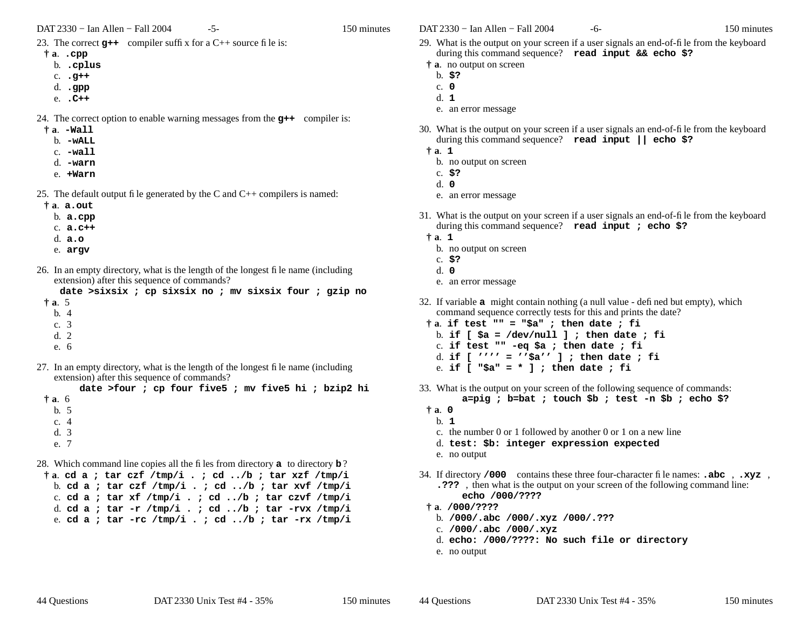23. The correct **g++** compiler suffix for a C++ source file is:

- **† <sup>a</sup>**. **.cpp**
	- b. **.cplus**
	- c. **.g++**
	- d. **.gpp**
	- e. **.C++**
- 24. The correct option to enable warning messages from the **g++** compiler is:
- **† <sup>a</sup>**. **-Wall**
	- b. **-wALL**
	- c. **-wall**
	- d. **-warn**
	- e. **+Warn**
- 25. The default output file generated by the C and C++ compilers is named:
- **† <sup>a</sup>**. **a.out**
	- b. **a.cpp**
	- c. **a.c++**
	- d. **a.o**
	- e. **argv**
- 26. In an empty directory, what is the length of the longest file name (including extension) after this sequence of commands?

**date >sixsix ; cp sixsix no ; mv sixsix four ; gzip no**

- $\dagger$  **a**. 5
	- b. 4
	- c. 3
	- d. 2
	- e. 6
- 27. In an empty directory, what is the length of the longest file name (including extension) after this sequence of commands?

**date >four ; cp four five5 ; mv five5 hi ; bzip2 hi**

- **† <sup>a</sup>**. 6
	- b. 5
	- c. 4
	- d. 3
	- e. 7
- 28. Which command line copies all the files from directory **<sup>a</sup>** to directory **b** ?
- **† <sup>a</sup>**. **cd a ; tar czf /tmp/i . ; cd ../b ; tar xzf /tmp/i** b. **cd a ; tar czf /tmp/i . ; cd ../b ; tar xvf /tmp/i** c. **cd a ; tar xf /tmp/i . ; cd ../b ; tar czvf /tmp/i** d. **cd a ; tar -r /tmp/i . ; cd ../b ; tar -rvx /tmp/i** e. **cd a ; tar -rc /tmp/i . ; cd ../b ; tar -rx /tmp/i**

DAT 2330 − Ian Allen − Fall 2004 -6- 150 minutes

- 29. What is the output on your screen if a user signals an end-of-file from the keyboard during this command sequence? **read input && echo \$?**
- **† <sup>a</sup>**. no output on screen
- b. **\$?**
- c. **0**
- d. **1**
- e. an error message
- 30. What is the output on your screen if a user signals an end-of-file from the keyboard during this command sequence? **read input || echo \$?**
- **† <sup>a</sup>**. **1**
	- b. no output on screen
	- c. **\$?**
	- d. **0**
	- e. an error message
- 31. What is the output on your screen if a user signals an end-of-file from the keyboard during this command sequence? **read input ; echo \$?**
	- **† <sup>a</sup>**. **1**
		- b. no output on screen
		- c. **\$?**
	- d. **0**
	- e. an error message
- 32. If variable **a** might contain nothing (a null value defined but empty), which command sequence correctly tests for this and prints the date?
- **† <sup>a</sup>**. **if test "" = "\$a" ; then date ; fi**
	- b. **if [ \$a = /dev/null ] ; then date ; fi**
	- c. **if test "" -eq \$a ; then date ; fi**
	- d. **if [ '''' = ''\$a'' ] ; then date ; fi**
	- e. **if [ "\$a" = \* ] ; then date ; fi**
- 33. What is the output on your screen of the following sequence of commands: **a=pig ; b=bat ; touch \$b ; test -n \$b ; echo \$?**
- **† <sup>a</sup>**. **0**
- b. **1**
- c. the number 0 or 1 followed by another 0 or 1 on a new line
- d. **test: \$b: integer expression expected**
- e. no output
- 34. If directory **/000** contains these three four-character file names: **.abc** , **.xyz** , **.???** , then what is the output on your screen of the following command line: **echo /000/????**
- **† <sup>a</sup>**. **/000/????**
	- b. **/000/.abc /000/.xyz /000/.???**
- c. **/000/.abc /000/.xyz**
- d. **echo: /000/????: No such file or directory**
- e. no output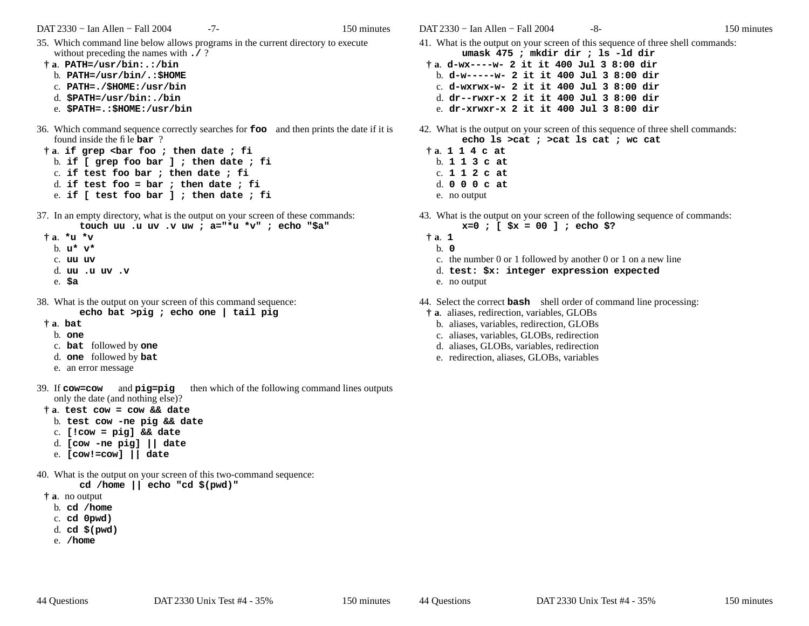- 35. Which command line below allows programs in the current directory to execute without preceding the names with **./** ?
- **† <sup>a</sup>**. **PATH=/usr/bin:.:/bin**
	- b. **PATH=/usr/bin/.:\$HOME**
	- c. **PATH=./\$HOME:/usr/bin**
	- d. **\$PATH=/usr/bin:./bin**
	- e. **\$PATH=.:\$HOME:/usr/bin**
- 36. Which command sequence correctly searches for **foo** and then prints the date if it is found inside the file **bar** ?
- **† <sup>a</sup>**. **if grep <bar foo ; then date ; fi**
	- b. **if [ grep foo bar ] ; then date ; fi**
	- c. **if test foo bar ; then date ; fi**
	- d. **if test foo = bar ; then date ; fi**
	- e. **if [ test foo bar ] ; then date ; fi**
- 37. In an empty directory, what is the output on your screen of these commands:

**touch uu .u uv .v uw ; a="\*u \*v" ; echo "\$a"**

**† <sup>a</sup>**. **\*u \*v** b. **u\* v\***c. **uu uv**d. **uu .u uv .v**e. **\$a**

38. What is the output on your screen of this command sequence:

**echo bat >pig ; echo one | tail pig**

- **† <sup>a</sup>**. **bat**
	- b. **one**
	- c. **bat** followed by **one**
	- d. **one** followed by **bat**
	- e. an error message

39. If **cow=cow**and **pig=pig** then which of the following command lines outputs only the date (and nothing else)?

- **† <sup>a</sup>**. **test cow = cow && date**
	- b. **test cow -ne pig && date**
	- c. **[!cow = pig] && date**
	- d. **[cow -ne pig] || date**
	- e. **[cow!=cow] || date**
- 40. What is the output on your screen of this two-command sequence: **cd /home || echo "cd \$(pwd)"**
- **† <sup>a</sup>**. no output
	- b. **cd /home**
	- c. **cd 0pwd)**
	- d. **cd \$(pwd)**
	- e. **/home**

DAT 2330 − Ian Allen − Fall 2004 -8- 150 minutes

- 41. What is the output on your screen of this sequence of three shell commands: **umask 475 ; mkdir dir ; ls -ld dir**
- **† <sup>a</sup>**. **d-wx----w- 2 it it 400 Jul 3 8:00 dir**
- b. **d-w-----w- 2 it it 400 Jul 3 8:00 dir**
- c. **d-wxrwx-w- 2 it it 400 Jul 3 8:00 dir**
- d. **dr--rwxr-x 2 it it 400 Jul 3 8:00 dir**
- e. **dr-xrwxr-x 2 it it 400 Jul 3 8:00 dir**
- 42. What is the output on your screen of this sequence of three shell commands: **echo ls >cat ; >cat ls cat ; wc cat**
	- **† <sup>a</sup>**. **114c at** b. **113c at** c. **112c at** d. **000c at**
	- e. no output
- 43. What is the output on your screen of the following sequence of commands: **x=0 ; [ \$x = 00 ] ; echo \$?**
	- **† <sup>a</sup>**. **1**
	- b. **0**
		- c. the number 0 or 1 followed by another 0 or 1 on a new line
		- d. **test: \$x: integer expression expected**
	- e. no output
- 44. Select the correct **bash** shell order of command line processing:
- **† <sup>a</sup>**. aliases, redirection, variables, GLOBs
	- b. aliases, variables, redirection, GLOBs
	- c. aliases, variables, GLOBs, redirection
	- d. aliases, GLOBs, variables, redirection
	- e. redirection, aliases, GLOBs, variables